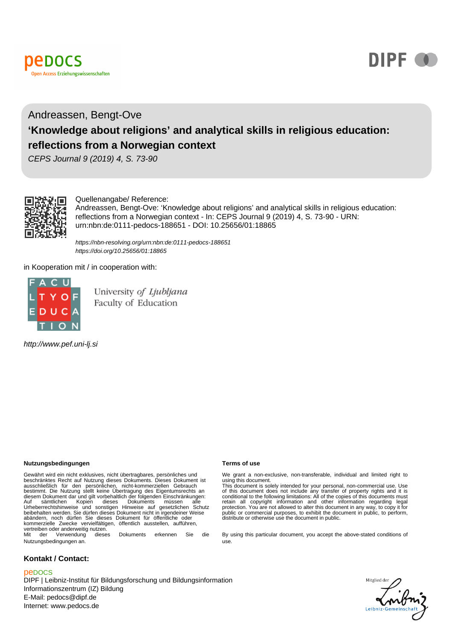



# Andreassen, Bengt-Ove **'Knowledge about religions' and analytical skills in religious education: reflections from a Norwegian context**

CEPS Journal 9 (2019) 4, S. 73-90



Quellenangabe/ Reference:

Andreassen, Bengt-Ove: 'Knowledge about religions' and analytical skills in religious education: reflections from a Norwegian context - In: CEPS Journal 9 (2019) 4, S. 73-90 - URN: urn:nbn:de:0111-pedocs-188651 - DOI: 10.25656/01:18865

https://nbn-resolving.org/urn:nbn:de:0111-pedocs-188651 https://doi.org/10.25656/01:18865

in Kooperation mit / in cooperation with:



University of Ljubljana Faculty of Education

http://www.pef.uni-lj.si

#### **Nutzungsbedingungen Terms of use**

Gewährt wird ein nicht exklusives, nicht übertragbares, persönliches und<br>beschränktes Recht auf Nutzung dieses Dokuments. Dieses Dokument ist<br>ausschließlich für den persönlichen, nicht-kommerziellen Gebrauch<br>bestimmt. Die kommerzielle Zwecke vervielfältigen, öffentlich ausstellen, aufführen, vertreiben oder anderweitig nutzen.<br>Mit der Verwendung diese Mit der Verwendung dieses Dokuments erkennen Sie die

Nutzungsbedingungen an.

#### **Kontakt / Contact:**

#### peDOCS

DIPF | Leibniz-Institut für Bildungsforschung und Bildungsinformation Informationszentrum (IZ) Bildung E-Mail: pedocs@dipf.de Internet: www.pedocs.de

We grant a non-exclusive, non-transferable, individual and limited right to using this document.

This document is solely intended for your personal, non-commercial use. Use<br>of this document does not include any transfer of property rights and it is<br>conditional to the following limitations: All of the copies of this do protection. You are not allowed to alter this document in any way, to copy it for public or commercial purposes, to exhibit the document in public, to perform, distribute or otherwise use the document in public.

By using this particular document, you accept the above-stated conditions of use.

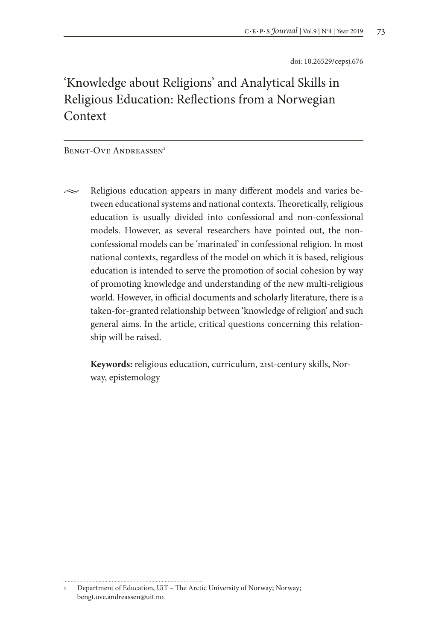doi: 10.26529/cepsj.676

# 'Knowledge about Religions' and Analytical Skills in Religious Education: Reflections from a Norwegian Context

#### BENGT-OVE ANDREASSEN<sup>1</sup>

 $\sim$  Religious education appears in many different models and varies between educational systems and national contexts. Theoretically, religious education is usually divided into confessional and non-confessional models. However, as several researchers have pointed out, the nonconfessional models can be 'marinated' in confessional religion. In most national contexts, regardless of the model on which it is based, religious education is intended to serve the promotion of social cohesion by way of promoting knowledge and understanding of the new multi-religious world. However, in official documents and scholarly literature, there is a taken-for-granted relationship between 'knowledge of religion' and such general aims. In the article, critical questions concerning this relationship will be raised.

**Keywords:** religious education, curriculum, 21st-century skills, Norway, epistemology

<sup>1</sup> Department of Education, UiT – The Arctic University of Norway; Norway; bengt.ove.andreassen@uit.no.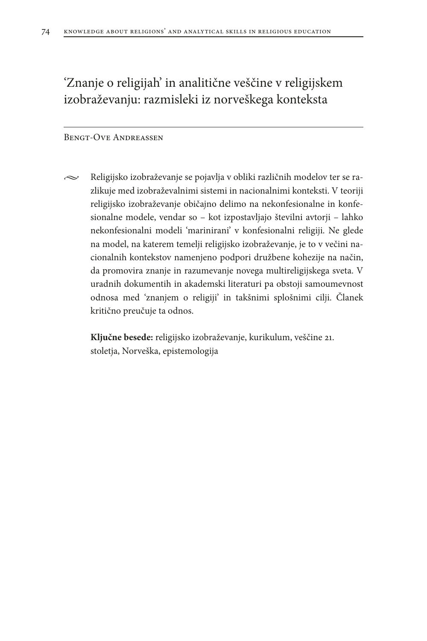# 'Znanje o religijah' in analitične veščine v religijskem izobraževanju: razmisleki iz norveškega konteksta

#### Bengt-Ove Andreassen

 $\sim$  Religijsko izobraževanje se pojavlja v obliki različnih modelov ter se razlikuje med izobraževalnimi sistemi in nacionalnimi konteksti. V teoriji religijsko izobraževanje običajno delimo na nekonfesionalne in konfesionalne modele, vendar so – kot izpostavljajo številni avtorji – lahko nekonfesionalni modeli 'marinirani' v konfesionalni religiji. Ne glede na model, na katerem temelji religijsko izobraževanje, je to v večini nacionalnih kontekstov namenjeno podpori družbene kohezije na način, da promovira znanje in razumevanje novega multireligijskega sveta. V uradnih dokumentih in akademski literaturi pa obstoji samoumevnost odnosa med 'znanjem o religiji' in takšnimi splošnimi cilji. Članek kritično preučuje ta odnos.

**Ključne besede:** religijsko izobraževanje, kurikulum, veščine 21. stoletja, Norveška, epistemologija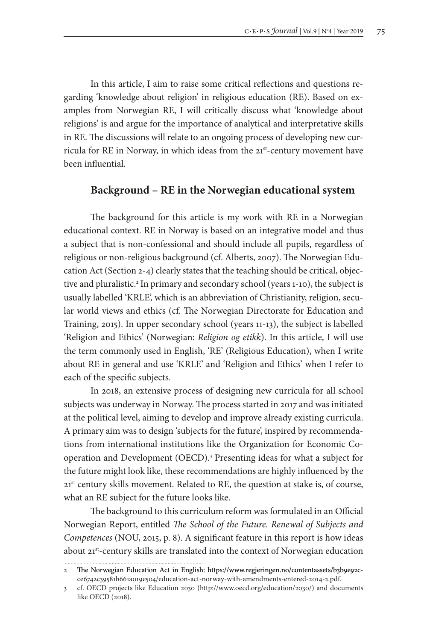In this article, I aim to raise some critical reflections and questions regarding 'knowledge about religion' in religious education (RE). Based on examples from Norwegian RE, I will critically discuss what 'knowledge about religions' is and argue for the importance of analytical and interpretative skills in RE. The discussions will relate to an ongoing process of developing new curricula for RE in Norway, in which ideas from the 21st-century movement have been influential.

#### **Background – RE in the Norwegian educational system**

The background for this article is my work with RE in a Norwegian educational context. RE in Norway is based on an integrative model and thus a subject that is non-confessional and should include all pupils, regardless of religious or non-religious background (cf. Alberts, 2007). The Norwegian Education Act (Section 2-4) clearly states that the teaching should be critical, objective and pluralistic.<sup>2</sup> In primary and secondary school (years 1-10), the subject is usually labelled 'KRLE', which is an abbreviation of Christianity, religion, secular world views and ethics (cf. The Norwegian Directorate for Education and Training, 2015). In upper secondary school (years 11-13), the subject is labelled 'Religion and Ethics' (Norwegian: *Religion og etikk*). In this article, I will use the term commonly used in English, 'RE' (Religious Education), when I write about RE in general and use 'KRLE' and 'Religion and Ethics' when I refer to each of the specific subjects.

In 2018, an extensive process of designing new curricula for all school subjects was underway in Norway. The process started in 2017 and was initiated at the political level, aiming to develop and improve already existing curricula. A primary aim was to design 'subjects for the future', inspired by recommendations from international institutions like the Organization for Economic Cooperation and Development (OECD).3 Presenting ideas for what a subject for the future might look like, these recommendations are highly influenced by the 21<sup>st</sup> century skills movement. Related to RE, the question at stake is, of course, what an RE subject for the future looks like.

The background to this curriculum reform was formulated in an Official Norwegian Report, entitled *The School of the Future. Renewal of Subjects and Competences* (NOU, 2015, p. 8). A significant feature in this report is how ideas about 21<sup>st</sup>-century skills are translated into the context of Norwegian education

<sup>2</sup> The Norwegian Education Act in English: https://www.regjeringen.no/contentassets/b3b9e92cce6742c39581b661a019e504/education-act-norway-with-amendments-entered-2014-2.pdf.

<sup>3</sup> cf. OECD projects like Education 2030 (http://www.oecd.org/education/2030/) and documents like OECD (2018).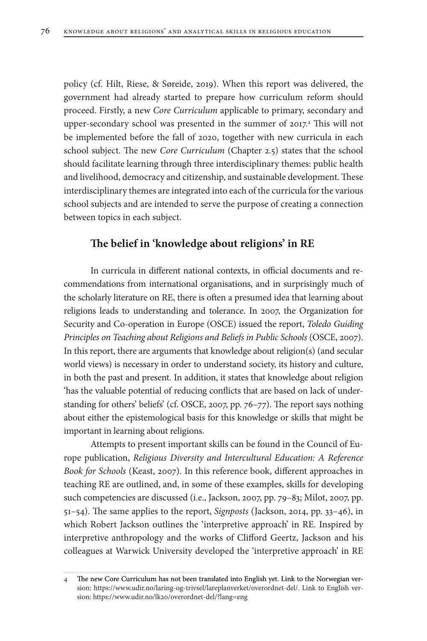policy (cf. Hilt, Riese, & Søreide, 2019). When this report was delivered, the government had already started to prepare how curriculum reform should proceed. Firstly, a new *Core Curriculum* applicable to primary, secondary and upper-secondary school was presented in the summer of 2017.4 This will not be implemented before the fall of 2020, together with new curricula in each school subject. The new *Core Curriculum* (Chapter 2.5) states that the school should facilitate learning through three interdisciplinary themes: public health and livelihood, democracy and citizenship, and sustainable development. These interdisciplinary themes are integrated into each of the curricula for the various school subjects and are intended to serve the purpose of creating a connection between topics in each subject.

### **The belief in 'knowledge about religions' in RE**

In curricula in different national contexts, in official documents and recommendations from international organisations, and in surprisingly much of the scholarly literature on RE, there is often a presumed idea that learning about religions leads to understanding and tolerance. In 2007, the Organization for Security and Co-operation in Europe (OSCE) issued the report, *Toledo Guiding Principles on Teaching about Religions and Beliefs in Public Schools* (OSCE, 2007). In this report, there are arguments that knowledge about religion(s) (and secular world views) is necessary in order to understand society, its history and culture, in both the past and present. In addition, it states that knowledge about religion 'has the valuable potential of reducing conflicts that are based on lack of understanding for others' beliefs' (cf. OSCE, 2007, pp. 76–77). The report says nothing about either the epistemological basis for this knowledge or skills that might be important in learning about religions.

Attempts to present important skills can be found in the Council of Europe publication, *Religious Diversity and Intercultural Education: A Reference Book for Schools* (Keast, 2007). In this reference book, different approaches in teaching RE are outlined, and, in some of these examples, skills for developing such competencies are discussed (i.e., Jackson, 2007, pp. 79–83; Milot, 2007, pp. 51–54). The same applies to the report, *Signposts* (Jackson, 2014, pp. 33–46), in which Robert Jackson outlines the 'interpretive approach' in RE. Inspired by interpretive anthropology and the works of Clifford Geertz, Jackson and his colleagues at Warwick University developed the 'interpretive approach' in RE

<sup>4</sup> The new Core Curriculum has not been translated into English yet. Link to the Norwegian version: https://www.udir.no/laring-og-trivsel/lareplanverket/overordnet-del/. Link to English version: https://www.udir.no/lk20/overordnet-del/?lang=eng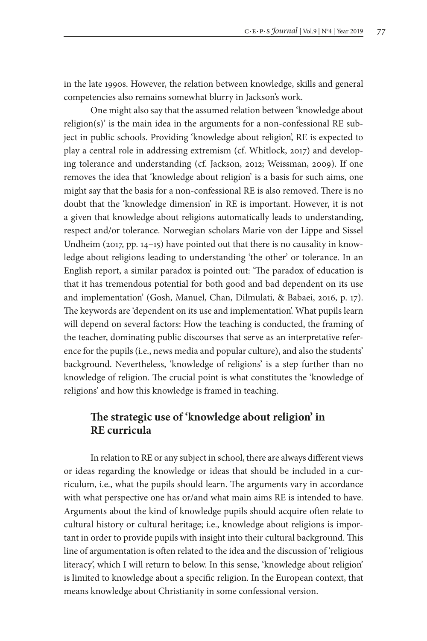in the late 1990s. However, the relation between knowledge, skills and general competencies also remains somewhat blurry in Jackson's work.

One might also say that the assumed relation between 'knowledge about religion(s)' is the main idea in the arguments for a non-confessional RE subject in public schools. Providing 'knowledge about religion', RE is expected to play a central role in addressing extremism (cf. Whitlock, 2017) and developing tolerance and understanding (cf. Jackson, 2012; Weissman, 2009). If one removes the idea that 'knowledge about religion' is a basis for such aims, one might say that the basis for a non-confessional RE is also removed. There is no doubt that the 'knowledge dimension' in RE is important. However, it is not a given that knowledge about religions automatically leads to understanding, respect and/or tolerance. Norwegian scholars Marie von der Lippe and Sissel Undheim (2017, pp. 14–15) have pointed out that there is no causality in knowledge about religions leading to understanding 'the other' or tolerance. In an English report, a similar paradox is pointed out: 'The paradox of education is that it has tremendous potential for both good and bad dependent on its use and implementation' (Gosh, Manuel, Chan, Dilmulati, & Babaei, 2016, p. 17). The keywords are 'dependent on its use and implementation'. What pupils learn will depend on several factors: How the teaching is conducted, the framing of the teacher, dominating public discourses that serve as an interpretative reference for the pupils (i.e., news media and popular culture), and also the students' background. Nevertheless, 'knowledge of religions' is a step further than no knowledge of religion. The crucial point is what constitutes the 'knowledge of religions' and how this knowledge is framed in teaching.

## **The strategic use of 'knowledge about religion' in RE curricula**

In relation to RE or any subject in school, there are always different views or ideas regarding the knowledge or ideas that should be included in a curriculum, i.e., what the pupils should learn. The arguments vary in accordance with what perspective one has or/and what main aims RE is intended to have. Arguments about the kind of knowledge pupils should acquire often relate to cultural history or cultural heritage; i.e., knowledge about religions is important in order to provide pupils with insight into their cultural background. This line of argumentation is often related to the idea and the discussion of 'religious literacy', which I will return to below. In this sense, 'knowledge about religion' is limited to knowledge about a specific religion. In the European context, that means knowledge about Christianity in some confessional version.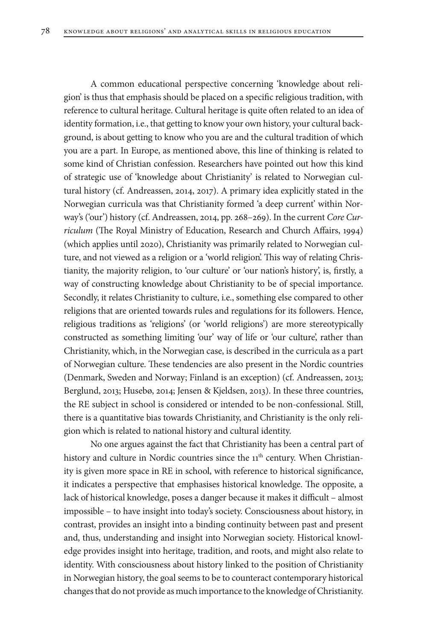A common educational perspective concerning 'knowledge about religion' is thus that emphasis should be placed on a specific religious tradition, with reference to cultural heritage. Cultural heritage is quite often related to an idea of identity formation, i.e., that getting to know your own history, your cultural background, is about getting to know who you are and the cultural tradition of which you are a part. In Europe, as mentioned above, this line of thinking is related to some kind of Christian confession. Researchers have pointed out how this kind of strategic use of 'knowledge about Christianity' is related to Norwegian cultural history (cf. Andreassen, 2014, 2017). A primary idea explicitly stated in the Norwegian curricula was that Christianity formed 'a deep current' within Norway's ('our') history (cf. Andreassen, 2014, pp. 268–269). In the current *Core Curriculum* (The Royal Ministry of Education, Research and Church Affairs, 1994) (which applies until 2020), Christianity was primarily related to Norwegian culture, and not viewed as a religion or a 'world religion'. This way of relating Christianity, the majority religion, to 'our culture' or 'our nation's history', is, firstly, a way of constructing knowledge about Christianity to be of special importance. Secondly, it relates Christianity to culture, i.e., something else compared to other religions that are oriented towards rules and regulations for its followers. Hence, religious traditions as 'religions' (or 'world religions') are more stereotypically constructed as something limiting 'our' way of life or 'our culture', rather than Christianity, which, in the Norwegian case, is described in the curricula as a part of Norwegian culture. These tendencies are also present in the Nordic countries (Denmark, Sweden and Norway; Finland is an exception) (cf. Andreassen, 2013; Berglund, 2013; Husebø, 2014; Jensen & Kjeldsen, 2013). In these three countries, the RE subject in school is considered or intended to be non-confessional. Still, there is a quantitative bias towards Christianity, and Christianity is the only religion which is related to national history and cultural identity.

No one argues against the fact that Christianity has been a central part of history and culture in Nordic countries since the 11<sup>th</sup> century. When Christianity is given more space in RE in school, with reference to historical significance, it indicates a perspective that emphasises historical knowledge. The opposite, a lack of historical knowledge, poses a danger because it makes it difficult – almost impossible – to have insight into today's society. Consciousness about history, in contrast, provides an insight into a binding continuity between past and present and, thus, understanding and insight into Norwegian society. Historical knowledge provides insight into heritage, tradition, and roots, and might also relate to identity. With consciousness about history linked to the position of Christianity in Norwegian history, the goal seems to be to counteract contemporary historical changes that do not provide as much importance to the knowledge of Christianity.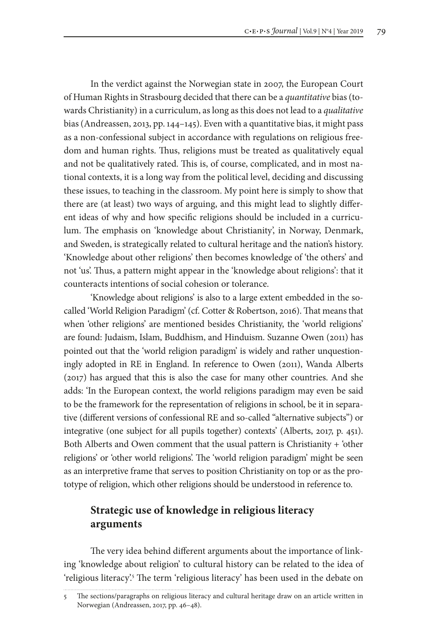In the verdict against the Norwegian state in 2007, the European Court of Human Rights in Strasbourg decided that there can be a *quantitative* bias (towards Christianity) in a curriculum, as long as this does not lead to a *qualitative* bias (Andreassen, 2013, pp. 144–145). Even with a quantitative bias, it might pass as a non-confessional subject in accordance with regulations on religious freedom and human rights. Thus, religions must be treated as qualitatively equal and not be qualitatively rated. This is, of course, complicated, and in most national contexts, it is a long way from the political level, deciding and discussing these issues, to teaching in the classroom. My point here is simply to show that there are (at least) two ways of arguing, and this might lead to slightly different ideas of why and how specific religions should be included in a curriculum. The emphasis on 'knowledge about Christianity', in Norway, Denmark, and Sweden, is strategically related to cultural heritage and the nation's history. 'Knowledge about other religions' then becomes knowledge of 'the others' and not 'us'. Thus, a pattern might appear in the 'knowledge about religions': that it counteracts intentions of social cohesion or tolerance.

'Knowledge about religions' is also to a large extent embedded in the socalled 'World Religion Paradigm' (cf. Cotter & Robertson, 2016). That means that when 'other religions' are mentioned besides Christianity, the 'world religions' are found: Judaism, Islam, Buddhism, and Hinduism. Suzanne Owen (2011) has pointed out that the 'world religion paradigm' is widely and rather unquestioningly adopted in RE in England. In reference to Owen (2011), Wanda Alberts (2017) has argued that this is also the case for many other countries. And she adds: 'In the European context, the world religions paradigm may even be said to be the framework for the representation of religions in school, be it in separative (different versions of confessional RE and so-called "alternative subjects") or integrative (one subject for all pupils together) contexts' (Alberts, 2017, p. 451). Both Alberts and Owen comment that the usual pattern is Christianity + 'other religions' or 'other world religions'. The 'world religion paradigm' might be seen as an interpretive frame that serves to position Christianity on top or as the prototype of religion, which other religions should be understood in reference to.

# **Strategic use of knowledge in religious literacy arguments**

The very idea behind different arguments about the importance of linking 'knowledge about religion' to cultural history can be related to the idea of 'religious literacy'.<sup>5</sup> The term 'religious literacy' has been used in the debate on

<sup>5</sup> The sections/paragraphs on religious literacy and cultural heritage draw on an article written in Norwegian (Andreassen, 2017, pp. 46–48).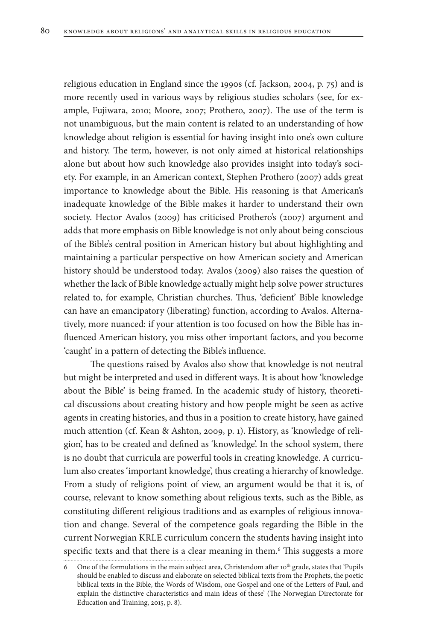religious education in England since the 1990s (cf. Jackson, 2004, p. 75) and is more recently used in various ways by religious studies scholars (see, for example, Fujiwara, 2010; Moore, 2007; Prothero, 2007). The use of the term is not unambiguous, but the main content is related to an understanding of how knowledge about religion is essential for having insight into one's own culture and history. The term, however, is not only aimed at historical relationships alone but about how such knowledge also provides insight into today's society. For example, in an American context, Stephen Prothero (2007) adds great importance to knowledge about the Bible. His reasoning is that American's inadequate knowledge of the Bible makes it harder to understand their own society. Hector Avalos (2009) has criticised Prothero's (2007) argument and adds that more emphasis on Bible knowledge is not only about being conscious of the Bible's central position in American history but about highlighting and maintaining a particular perspective on how American society and American history should be understood today. Avalos (2009) also raises the question of whether the lack of Bible knowledge actually might help solve power structures related to, for example, Christian churches. Thus, 'deficient' Bible knowledge can have an emancipatory (liberating) function, according to Avalos. Alternatively, more nuanced: if your attention is too focused on how the Bible has influenced American history, you miss other important factors, and you become 'caught' in a pattern of detecting the Bible's influence.

The questions raised by Avalos also show that knowledge is not neutral but might be interpreted and used in different ways. It is about how 'knowledge about the Bible' is being framed. In the academic study of history, theoretical discussions about creating history and how people might be seen as active agents in creating histories, and thus in a position to create history, have gained much attention (cf. Kean & Ashton, 2009, p. 1). History, as 'knowledge of religion', has to be created and defined as 'knowledge'. In the school system, there is no doubt that curricula are powerful tools in creating knowledge. A curriculum also creates 'important knowledge', thus creating a hierarchy of knowledge. From a study of religions point of view, an argument would be that it is, of course, relevant to know something about religious texts, such as the Bible, as constituting different religious traditions and as examples of religious innovation and change. Several of the competence goals regarding the Bible in the current Norwegian KRLE curriculum concern the students having insight into specific texts and that there is a clear meaning in them.<sup>6</sup> This suggests a more

<sup>6</sup> One of the formulations in the main subject area, Christendom after 10<sup>th</sup> grade, states that 'Pupils should be enabled to discuss and elaborate on selected biblical texts from the Prophets, the poetic biblical texts in the Bible, the Words of Wisdom, one Gospel and one of the Letters of Paul, and explain the distinctive characteristics and main ideas of these' (The Norwegian Directorate for Education and Training, 2015, p. 8).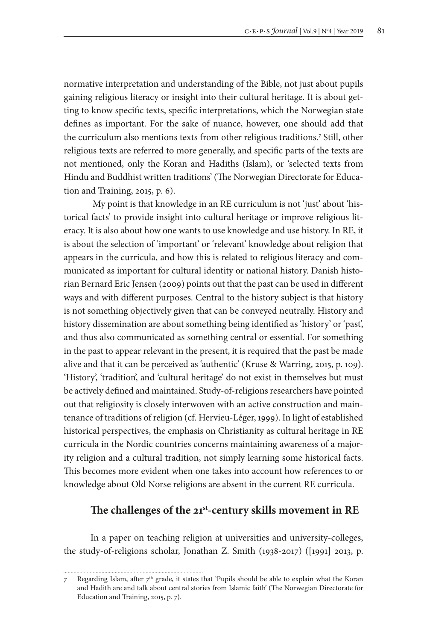normative interpretation and understanding of the Bible, not just about pupils gaining religious literacy or insight into their cultural heritage. It is about getting to know specific texts, specific interpretations, which the Norwegian state defines as important. For the sake of nuance, however, one should add that the curriculum also mentions texts from other religious traditions.7 Still, other religious texts are referred to more generally, and specific parts of the texts are not mentioned, only the Koran and Hadiths (Islam), or 'selected texts from Hindu and Buddhist written traditions' (The Norwegian Directorate for Education and Training, 2015, p. 6).

 My point is that knowledge in an RE curriculum is not 'just' about 'historical facts' to provide insight into cultural heritage or improve religious literacy. It is also about how one wants to use knowledge and use history. In RE, it is about the selection of 'important' or 'relevant' knowledge about religion that appears in the curricula, and how this is related to religious literacy and communicated as important for cultural identity or national history. Danish historian Bernard Eric Jensen (2009) points out that the past can be used in different ways and with different purposes. Central to the history subject is that history is not something objectively given that can be conveyed neutrally. History and history dissemination are about something being identified as 'history' or 'past', and thus also communicated as something central or essential. For something in the past to appear relevant in the present, it is required that the past be made alive and that it can be perceived as 'authentic' (Kruse & Warring, 2015, p. 109). 'History', 'tradition', and 'cultural heritage' do not exist in themselves but must be actively defined and maintained. Study-of-religions researchers have pointed out that religiosity is closely interwoven with an active construction and maintenance of traditions of religion (cf. Hervieu-Léger, 1999). In light of established historical perspectives, the emphasis on Christianity as cultural heritage in RE curricula in the Nordic countries concerns maintaining awareness of a majority religion and a cultural tradition, not simply learning some historical facts. This becomes more evident when one takes into account how references to or knowledge about Old Norse religions are absent in the current RE curricula.

## **The challenges of the 21st-century skills movement in RE**

In a paper on teaching religion at universities and university-colleges, the study-of-religions scholar, Jonathan Z. Smith (1938-2017) ([1991] 2013, p.

Regarding Islam, after  $7<sup>th</sup>$  grade, it states that 'Pupils should be able to explain what the Koran and Hadith are and talk about central stories from Islamic faith' (The Norwegian Directorate for Education and Training, 2015, p. 7).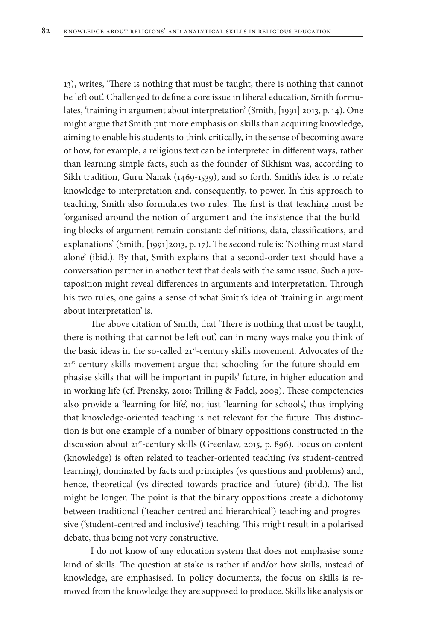13), writes, 'There is nothing that must be taught, there is nothing that cannot be left out'. Challenged to define a core issue in liberal education, Smith formulates, 'training in argument about interpretation' (Smith, [1991] 2013, p. 14). One might argue that Smith put more emphasis on skills than acquiring knowledge, aiming to enable his students to think critically, in the sense of becoming aware of how, for example, a religious text can be interpreted in different ways, rather than learning simple facts, such as the founder of Sikhism was, according to Sikh tradition, Guru Nanak (1469-1539), and so forth. Smith's idea is to relate knowledge to interpretation and, consequently, to power. In this approach to teaching, Smith also formulates two rules. The first is that teaching must be 'organised around the notion of argument and the insistence that the building blocks of argument remain constant: definitions, data, classifications, and explanations' (Smith, [1991]2013, p. 17). The second rule is: 'Nothing must stand alone' (ibid.). By that, Smith explains that a second-order text should have a conversation partner in another text that deals with the same issue. Such a juxtaposition might reveal differences in arguments and interpretation. Through his two rules, one gains a sense of what Smith's idea of 'training in argument about interpretation' is.

The above citation of Smith, that 'There is nothing that must be taught, there is nothing that cannot be left out', can in many ways make you think of the basic ideas in the so-called 21st-century skills movement. Advocates of the 21<sup>st</sup>-century skills movement argue that schooling for the future should emphasise skills that will be important in pupils' future, in higher education and in working life (cf. Prensky, 2010; Trilling & Fadel, 2009). These competencies also provide a 'learning for life', not just 'learning for schools', thus implying that knowledge-oriented teaching is not relevant for the future. This distinction is but one example of a number of binary oppositions constructed in the discussion about 21<sup>st</sup>-century skills (Greenlaw, 2015, p. 896). Focus on content (knowledge) is often related to teacher-oriented teaching (vs student-centred learning), dominated by facts and principles (vs questions and problems) and, hence, theoretical (vs directed towards practice and future) (ibid.). The list might be longer. The point is that the binary oppositions create a dichotomy between traditional ('teacher-centred and hierarchical') teaching and progressive ('student-centred and inclusive') teaching. This might result in a polarised debate, thus being not very constructive.

I do not know of any education system that does not emphasise some kind of skills. The question at stake is rather if and/or how skills, instead of knowledge, are emphasised. In policy documents, the focus on skills is removed from the knowledge they are supposed to produce. Skills like analysis or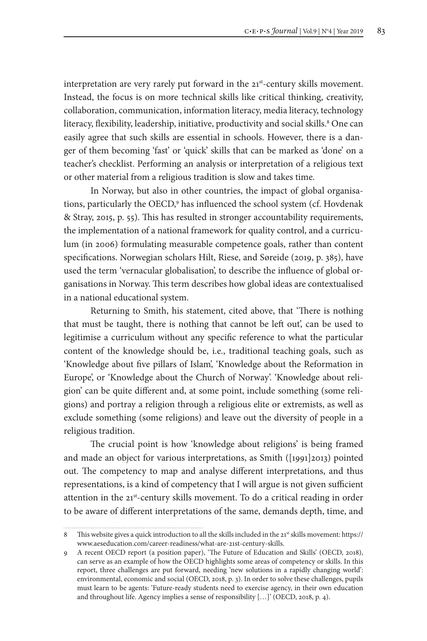interpretation are very rarely put forward in the 21<sup>st</sup>-century skills movement. Instead, the focus is on more technical skills like critical thinking, creativity, collaboration, communication, information literacy, media literacy, technology literacy, flexibility, leadership, initiative, productivity and social skills.8 One can easily agree that such skills are essential in schools. However, there is a danger of them becoming 'fast' or 'quick' skills that can be marked as 'done' on a teacher's checklist. Performing an analysis or interpretation of a religious text or other material from a religious tradition is slow and takes time.

In Norway, but also in other countries, the impact of global organisations, particularly the OECD,<sup>9</sup> has influenced the school system (cf. Hovdenak & Stray, 2015, p. 55). This has resulted in stronger accountability requirements, the implementation of a national framework for quality control, and a curriculum (in 2006) formulating measurable competence goals, rather than content specifications. Norwegian scholars Hilt, Riese, and Søreide (2019, p. 385), have used the term 'vernacular globalisation', to describe the influence of global organisations in Norway. This term describes how global ideas are contextualised in a national educational system.

Returning to Smith, his statement, cited above, that 'There is nothing that must be taught, there is nothing that cannot be left out', can be used to legitimise a curriculum without any specific reference to what the particular content of the knowledge should be, i.e., traditional teaching goals, such as 'Knowledge about five pillars of Islam', 'Knowledge about the Reformation in Europe', or 'Knowledge about the Church of Norway'. 'Knowledge about religion' can be quite different and, at some point, include something (some religions) and portray a religion through a religious elite or extremists, as well as exclude something (some religions) and leave out the diversity of people in a religious tradition.

The crucial point is how 'knowledge about religions' is being framed and made an object for various interpretations, as Smith ([1991]2013) pointed out. The competency to map and analyse different interpretations, and thus representations, is a kind of competency that I will argue is not given sufficient attention in the 21<sup>st</sup>-century skills movement. To do a critical reading in order to be aware of different interpretations of the same, demands depth, time, and

<sup>8</sup> This website gives a quick introduction to all the skills included in the 21<sup>st</sup> skills movement: https:// www.aeseducation.com/career-readiness/what-are-21st-century-skills.

<sup>9</sup> A recent OECD report (a position paper), 'The Future of Education and Skills' (OECD, 2018), can serve as an example of how the OECD highlights some areas of competency or skills. In this report, three challenges are put forward, needing 'new solutions in a rapidly changing world': environmental, economic and social (OECD, 2018, p. 3). In order to solve these challenges, pupils must learn to be agents: 'Future-ready students need to exercise agency, in their own education and throughout life. Agency implies a sense of responsibility […]' (OECD, 2018, p. 4).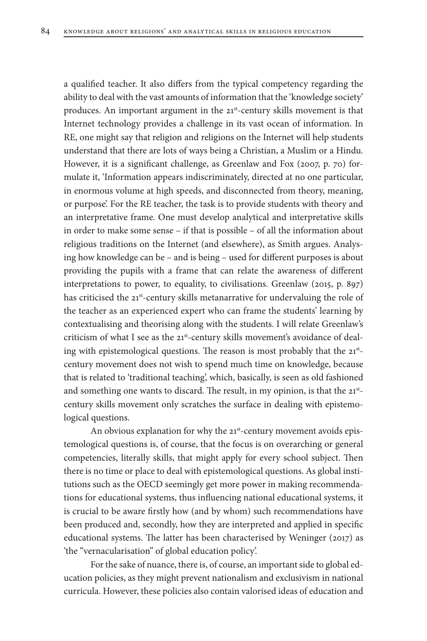a qualified teacher. It also differs from the typical competency regarding the ability to deal with the vast amounts of information that the 'knowledge society' produces. An important argument in the 21st-century skills movement is that Internet technology provides a challenge in its vast ocean of information. In RE, one might say that religion and religions on the Internet will help students understand that there are lots of ways being a Christian, a Muslim or a Hindu. However, it is a significant challenge, as Greenlaw and Fox (2007, p. 70) formulate it, 'Information appears indiscriminately, directed at no one particular, in enormous volume at high speeds, and disconnected from theory, meaning, or purpose'. For the RE teacher, the task is to provide students with theory and an interpretative frame. One must develop analytical and interpretative skills in order to make some sense – if that is possible – of all the information about religious traditions on the Internet (and elsewhere), as Smith argues. Analysing how knowledge can be – and is being – used for different purposes is about providing the pupils with a frame that can relate the awareness of different interpretations to power, to equality, to civilisations. Greenlaw (2015, p. 897) has criticised the 21<sup>st</sup>-century skills metanarrative for undervaluing the role of the teacher as an experienced expert who can frame the students' learning by contextualising and theorising along with the students. I will relate Greenlaw's criticism of what I see as the 21<sup>st</sup>-century skills movement's avoidance of dealing with epistemological questions. The reason is most probably that the 21stcentury movement does not wish to spend much time on knowledge, because that is related to 'traditional teaching', which, basically, is seen as old fashioned and something one wants to discard. The result, in my opinion, is that the 21<sup>st</sup>century skills movement only scratches the surface in dealing with epistemological questions.

An obvious explanation for why the 21st-century movement avoids epistemological questions is, of course, that the focus is on overarching or general competencies, literally skills, that might apply for every school subject. Then there is no time or place to deal with epistemological questions. As global institutions such as the OECD seemingly get more power in making recommendations for educational systems, thus influencing national educational systems, it is crucial to be aware firstly how (and by whom) such recommendations have been produced and, secondly, how they are interpreted and applied in specific educational systems. The latter has been characterised by Weninger (2017) as 'the "vernacularisation" of global education policy'.

For the sake of nuance, there is, of course, an important side to global education policies, as they might prevent nationalism and exclusivism in national curricula. However, these policies also contain valorised ideas of education and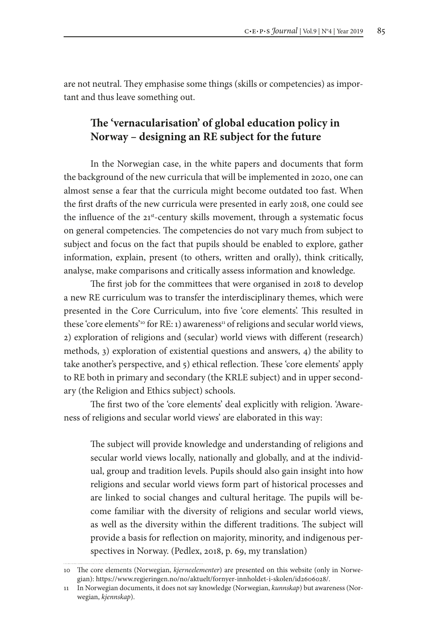are not neutral. They emphasise some things (skills or competencies) as important and thus leave something out.

# **The 'vernacularisation' of global education policy in Norway – designing an RE subject for the future**

In the Norwegian case, in the white papers and documents that form the background of the new curricula that will be implemented in 2020, one can almost sense a fear that the curricula might become outdated too fast. When the first drafts of the new curricula were presented in early 2018, one could see the influence of the 21st-century skills movement, through a systematic focus on general competencies. The competencies do not vary much from subject to subject and focus on the fact that pupils should be enabled to explore, gather information, explain, present (to others, written and orally), think critically, analyse, make comparisons and critically assess information and knowledge.

The first job for the committees that were organised in 2018 to develop a new RE curriculum was to transfer the interdisciplinary themes, which were presented in the Core Curriculum, into five 'core elements'. This resulted in these 'core elements'<sup>10</sup> for RE: 1) awareness<sup>11</sup> of religions and secular world views, 2) exploration of religions and (secular) world views with different (research) methods, 3) exploration of existential questions and answers, 4) the ability to take another's perspective, and 5) ethical reflection. These 'core elements' apply to RE both in primary and secondary (the KRLE subject) and in upper secondary (the Religion and Ethics subject) schools.

The first two of the 'core elements' deal explicitly with religion. 'Awareness of religions and secular world views' are elaborated in this way:

The subject will provide knowledge and understanding of religions and secular world views locally, nationally and globally, and at the individual, group and tradition levels. Pupils should also gain insight into how religions and secular world views form part of historical processes and are linked to social changes and cultural heritage. The pupils will become familiar with the diversity of religions and secular world views, as well as the diversity within the different traditions. The subject will provide a basis for reflection on majority, minority, and indigenous perspectives in Norway. (Pedlex, 2018, p. 69, my translation)

<sup>10</sup> The core elements (Norwegian, *kjerneelementer*) are presented on this website (only in Norwegian): https://www.regjeringen.no/no/aktuelt/fornyer-innholdet-i-skolen/id2606028/.

<sup>11</sup> In Norwegian documents, it does not say knowledge (Norwegian, *kunnskap*) but awareness (Norwegian, *kjennskap*).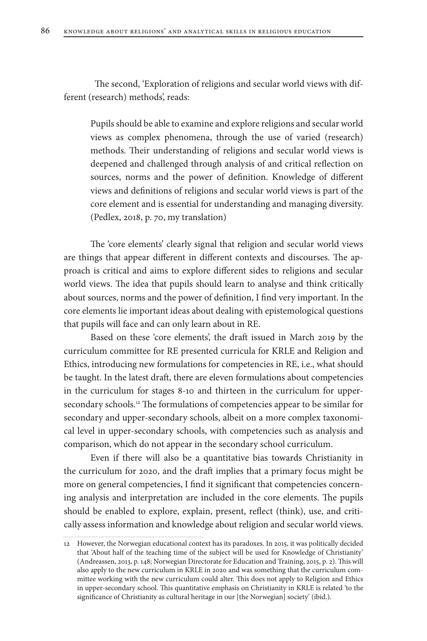The second, 'Exploration of religions and secular world views with different (research) methods', reads:

Pupils should be able to examine and explore religions and secular world views as complex phenomena, through the use of varied (research) methods. Their understanding of religions and secular world views is deepened and challenged through analysis of and critical reflection on sources, norms and the power of definition. Knowledge of different views and definitions of religions and secular world views is part of the core element and is essential for understanding and managing diversity. (Pedlex, 2018, p. 70, my translation)

The 'core elements' clearly signal that religion and secular world views are things that appear different in different contexts and discourses. The approach is critical and aims to explore different sides to religions and secular world views. The idea that pupils should learn to analyse and think critically about sources, norms and the power of definition, I find very important. In the core elements lie important ideas about dealing with epistemological questions that pupils will face and can only learn about in RE.

Based on these 'core elements', the draft issued in March 2019 by the curriculum committee for RE presented curricula for KRLE and Religion and Ethics, introducing new formulations for competencies in RE, i.e., what should be taught. In the latest draft, there are eleven formulations about competencies in the curriculum for stages 8-10 and thirteen in the curriculum for uppersecondary schools.12 The formulations of competencies appear to be similar for secondary and upper-secondary schools, albeit on a more complex taxonomical level in upper-secondary schools, with competencies such as analysis and comparison, which do not appear in the secondary school curriculum.

Even if there will also be a quantitative bias towards Christianity in the curriculum for 2020, and the draft implies that a primary focus might be more on general competencies, I find it significant that competencies concerning analysis and interpretation are included in the core elements. The pupils should be enabled to explore, explain, present, reflect (think), use, and critically assess information and knowledge about religion and secular world views.

 $\begin{minipage}{0.5\textwidth} \begin{tabular}{|c|c|c|c|} \hline \multicolumn{1}{|c|}{0.5\textwidth} \begin{tabular}{|c|c|c|} \hline \multicolumn{1}{|c|}{0.5\textwidth} \begin{tabular}{|c|c|c|} \hline \multicolumn{1}{|c|}{0.5\textwidth} \begin{tabular}{|c|c|c|} \hline \multicolumn{1}{|c|}{0.5\textwidth} \begin{tabular}{|c|c|c|} \hline \multicolumn{1}{|c|}{0.5\textwidth} \begin{tabular}{|c|c|c|} \hline \multicolumn{1}{|c|}{0$ 

<sup>12</sup> However, the Norwegian educational context has its paradoxes. In 2015, it was politically decided that 'About half of the teaching time of the subject will be used for Knowledge of Christianity' (Andreassen, 2013, p. 148; Norwegian Directorate for Education and Training, 2015, p. 2). This will also apply to the new curriculum in KRLE in 2020 and was something that the curriculum committee working with the new curriculum could alter. This does not apply to Religion and Ethics in upper-secondary school. This quantitative emphasis on Christianity in KRLE is related 'to the significance of Christianity as cultural heritage in our [the Norwegian] society' (ibid.).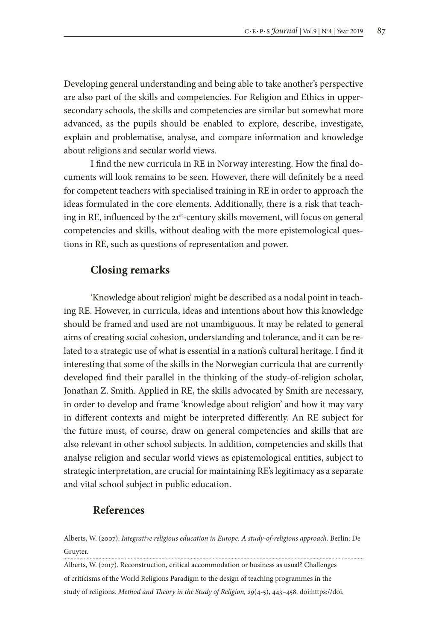Developing general understanding and being able to take another's perspective are also part of the skills and competencies. For Religion and Ethics in uppersecondary schools, the skills and competencies are similar but somewhat more advanced, as the pupils should be enabled to explore, describe, investigate, explain and problematise, analyse, and compare information and knowledge about religions and secular world views.

I find the new curricula in RE in Norway interesting. How the final documents will look remains to be seen. However, there will definitely be a need for competent teachers with specialised training in RE in order to approach the ideas formulated in the core elements. Additionally, there is a risk that teaching in RE, influenced by the 21<sup>st</sup>-century skills movement, will focus on general competencies and skills, without dealing with the more epistemological questions in RE, such as questions of representation and power.

# **Closing remarks**

'Knowledge about religion' might be described as a nodal point in teaching RE. However, in curricula, ideas and intentions about how this knowledge should be framed and used are not unambiguous. It may be related to general aims of creating social cohesion, understanding and tolerance, and it can be related to a strategic use of what is essential in a nation's cultural heritage. I find it interesting that some of the skills in the Norwegian curricula that are currently developed find their parallel in the thinking of the study-of-religion scholar, Jonathan Z. Smith. Applied in RE, the skills advocated by Smith are necessary, in order to develop and frame 'knowledge about religion' and how it may vary in different contexts and might be interpreted differently. An RE subject for the future must, of course, draw on general competencies and skills that are also relevant in other school subjects. In addition, competencies and skills that analyse religion and secular world views as epistemological entities, subject to strategic interpretation, are crucial for maintaining RE's legitimacy as a separate and vital school subject in public education.

#### **References**

Alberts, W. (2007). *Integrative religious education in Europe. A study-of-religions approach.* Berlin: De Gruyter.

Alberts, W. (2017). Reconstruction, critical accommodation or business as usual? Challenges of criticisms of the World Religions Paradigm to the design of teaching programmes in the study of religions. *Method and Theory in the Study of Religion, 29*(4-5), 443–458. doi:https://doi.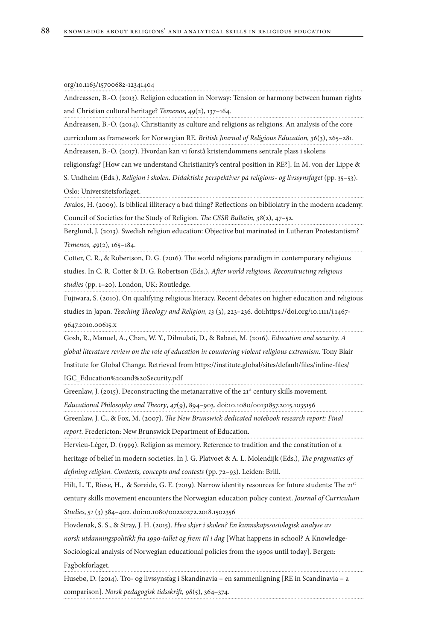|  |  | org/10.1163/15700682-12341404 |  |
|--|--|-------------------------------|--|
|--|--|-------------------------------|--|

Andreassen, B.-O. (2013). Religion education in Norway: Tension or harmony between human rights and Christian cultural heritage? *Temenos, 49*(2), 137–164.

Andreassen, B.-O. (2014). Christianity as culture and religions as religions. An analysis of the core curriculum as framework for Norwegian RE. *British Journal of Religious Education, 36*(3), 265–281.

Andreassen, B.-O. (2017). Hvordan kan vi forstå kristendommens sentrale plass i skolens

religionsfag? [How can we understand Christianity's central position in RE?]. In M. von der Lippe &

S. Undheim (Eds.), *Religion i skolen. Didaktiske perspektiver på religions- og livssynsfaget* (pp. 35–53). Oslo: Universitetsforlaget.

Avalos, H. (2009). Is biblical illiteracy a bad thing? Reflections on bibliolatry in the modern academy. Council of Societies for the Study of Religion. *The CSSR Bulletin, 38*(2), 47–52.

Berglund, J. (2013). Swedish religion education: Objective but marinated in Lutheran Protestantism? *Temenos, 49*(2), 165–184.

Cotter, C. R., & Robertson, D. G. (2016). The world religions paradigm in contemporary religious studies. In C. R. Cotter & D. G. Robertson (Eds.), *After world religions. Reconstructing religious studies* (pp. 1–20). London, UK: Routledge.

Fujiwara, S. (2010). On qualifying religious literacy. Recent debates on higher education and religious studies in Japan. *Teaching Theology and Religion, 13* (3), 223–236. doi:https://doi.org/10.1111/j.1467- 9647.2010.00615.x

Gosh, R., Manuel, A., Chan, W. Y., Dilmulati, D., & Babaei, M. (2016). *Education and security. A global literature review on the role of education in countering violent religious extremism.* Tony Blair Institute for Global Change. Retrieved from https://institute.global/sites/default/files/inline-files/ IGC\_Education%20and%20Security.pdf

Greenlaw, J. (2015). Deconstructing the metanarrative of the  $21<sup>st</sup>$  century skills movement.

*Educational Philosophy and Theory*, *47*(9), 894–903. doi:10.1080/00131857.2015.1035156

Greenlaw, J. C., & Fox, M. (2007). *The New Brunswick dedicated notebook research report: Final report*. Fredericton: New Brunswick Department of Education.

Hervieu-Léger, D. (1999). Religion as memory. Reference to tradition and the constitution of a heritage of belief in modern societies. In J. G. Platvoet & A. L. Molendijk (Eds.), *The pragmatics of defining religion. Contexts, concepts and contests* (pp. 72–93). Leiden: Brill.

Hilt, L. T., Riese, H., & Søreide, G. E. (2019). Narrow identity resources for future students: The 21st century skills movement encounters the Norwegian education policy context. *Journal of Curriculum Studies*, *51* (3) 384–402. doi:10.1080/00220272.2018.1502356

Hovdenak, S. S., & Stray, J. H. (2015). *Hva skjer i skolen? En kunnskapssosiologisk analyse av norsk utdanningspolitikk fra 1990-tallet og frem til i dag* [What happens in school? A Knowledge-Sociological analysis of Norwegian educational policies from the 1990s until today]. Bergen: Fagbokforlaget.

Husebø, D. (2014). Tro- og livssynsfag i Skandinavia – en sammenligning [RE in Scandinavia – a comparison]. *Norsk pedagogisk tidsskrift, 98*(5), 364–374.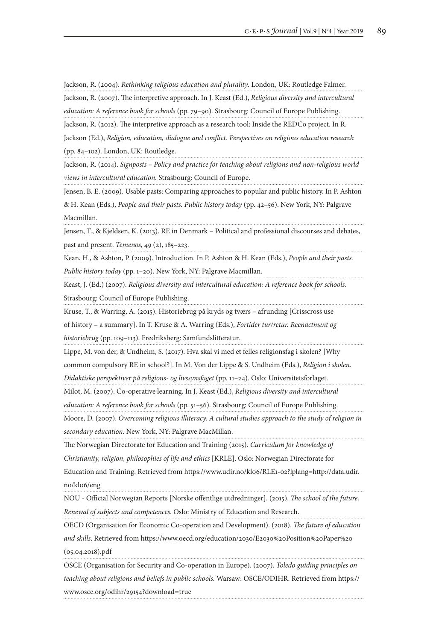Jackson, R. (2004). *Rethinking religious education and plurality*. London, UK: Routledge Falmer.

Jackson, R. (2007). The interpretive approach. In J. Keast (Ed.), *Religious diversity and intercultural* 

*education: A reference book for schools* (pp. 79–90)*.* Strasbourg: Council of Europe Publishing.

Jackson, R. (2012). The interpretive approach as a research tool: Inside the REDCo project. In R.

Jackson (Ed.), *Religion, education, dialogue and conflict. Perspectives on religious education research* (pp. 84–102). London, UK: Routledge.

Jackson, R. (2014). *Signposts – Policy and practice for teaching about religions and non-religious world views in intercultural education.* Strasbourg: Council of Europe.

Jensen, B. E. (2009). Usable pasts: Comparing approaches to popular and public history. In P. Ashton

& H. Kean (Eds.), *People and their pasts. Public history today* (pp. 42–56). New York, NY: Palgrave Macmillan.

Jensen, T., & Kjeldsen, K. (2013). RE in Denmark – Political and professional discourses and debates, past and present. *Temenos, 49* (2), 185–223.

Kean, H., & Ashton, P. (2009). Introduction. In P. Ashton & H. Kean (Eds.), *People and their pasts. Public history today* (pp. 1–20). New York, NY: Palgrave Macmillan.

Keast, J. (Ed.) (2007). *Religious diversity and intercultural education: A reference book for schools.*

Strasbourg: Council of Europe Publishing.

Kruse, T., & Warring, A. (2015). Historiebrug på kryds og tværs – afrunding [Crisscross use

of history – a summary]. In T. Kruse & A. Warring (Eds.), *Fortider tur/retur. Reenactment og historiebrug* (pp. 109–113). Fredriksberg: Samfundslitteratur.

Lippe, M. von der, & Undheim, S. (2017). Hva skal vi med et felles religionsfag i skolen? [Why

common compulsory RE in school?]. In M. Von der Lippe & S. Undheim (Eds.), *Religion i skolen.* 

*Didaktiske perspektiver på religions- og livssynsfaget* (pp. 11–24). Oslo: Universitetsforlaget.

Milot, M. (2007). Co-operative learning. In J. Keast (Ed.), *Religious diversity and intercultural* 

*education: A reference book for schools* (pp. 51–56)*.* Strasbourg: Council of Europe Publishing.

Moore, D. (2007). *Overcoming religious illiteracy. A cultural studies approach to the study of religion in secondary education*. New York, NY: Palgrave MacMillan.

The Norwegian Directorate for Education and Training (2015). *Curriculum for knowledge of* 

*Christianity, religion, philosophies of life and ethics* [KRLE]. Oslo: Norwegian Directorate for

Education and Training. Retrieved from https://www.udir.no/kl06/RLE1-02?lplang=http://data.udir. no/kl06/eng

NOU - Official Norwegian Reports [Norske offentlige utdredninger]. (2015). *The school of the future. Renewal of subjects and competences*. Oslo: Ministry of Education and Research.

OECD (Organisation for Economic Co-operation and Development). (2018). *The future of education and skills*. Retrieved from https://www.oecd.org/education/2030/E2030%20Position%20Paper%20 (05.04.2018).pdf

OSCE (Organisation for Security and Co-operation in Europe). (2007). *Toledo guiding principles on teaching about religions and beliefs in public schools.* Warsaw: OSCE/ODIHR. Retrieved from https:// www.osce.org/odihr/29154?download=true